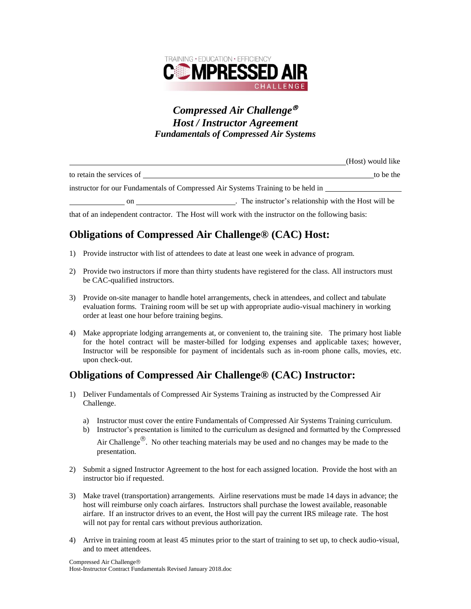

### *Compressed Air Challenge Host / Instructor Agreement Fundamentals of Compressed Air Systems*

|                                                                                  | (Host) would like                                   |
|----------------------------------------------------------------------------------|-----------------------------------------------------|
| to retain the services of                                                        | to be the                                           |
| instructor for our Fundamentals of Compressed Air Systems Training to be held in |                                                     |
| on                                                                               | The instructor's relationship with the Host will be |

that of an independent contractor. The Host will work with the instructor on the following basis:

# **Obligations of Compressed Air Challenge® (CAC) Host:**

- 1) Provide instructor with list of attendees to date at least one week in advance of program.
- 2) Provide two instructors if more than thirty students have registered for the class. All instructors must be CAC-qualified instructors.
- 3) Provide on-site manager to handle hotel arrangements, check in attendees, and collect and tabulate evaluation forms. Training room will be set up with appropriate audio-visual machinery in working order at least one hour before training begins.
- 4) Make appropriate lodging arrangements at, or convenient to, the training site. The primary host liable for the hotel contract will be master-billed for lodging expenses and applicable taxes; however, Instructor will be responsible for payment of incidentals such as in-room phone calls, movies, etc. upon check-out.

## **Obligations of Compressed Air Challenge® (CAC) Instructor:**

- 1) Deliver Fundamentals of Compressed Air Systems Training as instructed by the Compressed Air Challenge.
	- a) Instructor must cover the entire Fundamentals of Compressed Air Systems Training curriculum.
	- b) Instructor's presentation is limited to the curriculum as designed and formatted by the Compressed Air Challenge<sup>®</sup>. No other teaching materials may be used and no changes may be made to the presentation.
- 2) Submit a signed Instructor Agreement to the host for each assigned location. Provide the host with an instructor bio if requested.
- 3) Make travel (transportation) arrangements. Airline reservations must be made 14 days in advance; the host will reimburse only coach airfares. Instructors shall purchase the lowest available, reasonable airfare. If an instructor drives to an event, the Host will pay the current IRS mileage rate. The host will not pay for rental cars without previous authorization.
- 4) Arrive in training room at least 45 minutes prior to the start of training to set up, to check audio-visual, and to meet attendees.